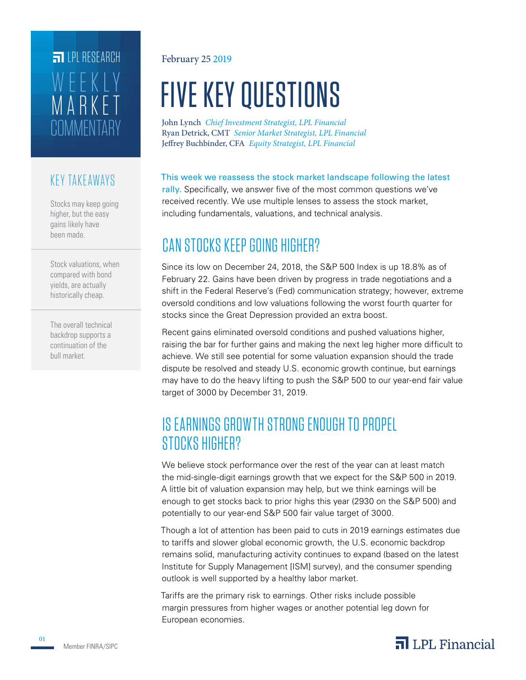# **COMMENTARY** MARKET WEEKLY **FILPI RESEARCH**

### KEY TAKEAWAYS

Stocks may keep going higher, but the easy gains likely have been made.

Stock valuations, when compared with bond yields, are actually historically cheap.

The overall technical backdrop supports a continuation of the bull market.

### February 25 2019

# FIVE KEY QUESTIONS

John Lynch *Chief Investment Strategist, LPL Financial* Jeffrey Buchbinder, CFA *Equity Strategist, LPL Financial* Ryan Detrick, CMT *Senior Market Strategist, LPL Financial*

This week we reassess the stock market landscape following the latest rally. Specifically, we answer five of the most common questions we've received recently. We use multiple lenses to assess the stock market, including fundamentals, valuations, and technical analysis.

## CAN STOCKS KEEP GOING HIGHER?

Since its low on December 24, 2018, the S&P 500 Index is up 18.8% as of February 22. Gains have been driven by progress in trade negotiations and a shift in the Federal Reserve's (Fed) communication strategy; however, extreme oversold conditions and low valuations following the worst fourth quarter for stocks since the Great Depression provided an extra boost.

Recent gains eliminated oversold conditions and pushed valuations higher, raising the bar for further gains and making the next leg higher more difficult to achieve. We still see potential for some valuation expansion should the trade dispute be resolved and steady U.S. economic growth continue, but earnings may have to do the heavy lifting to push the S&P 500 to our year-end fair value target of 3000 by December 31, 2019.

### IS EARNINGS GROWTH STRONG ENOUGH TO PROPEL STOCKS HIGHER?

We believe stock performance over the rest of the year can at least match the mid-single-digit earnings growth that we expect for the S&P 500 in 2019. A little bit of valuation expansion may help, but we think earnings will be enough to get stocks back to prior highs this year (2930 on the S&P 500) and potentially to our year-end S&P 500 fair value target of 3000.

Though a lot of attention has been paid to cuts in 2019 earnings estimates due to tariffs and slower global economic growth, the U.S. economic backdrop remains solid, manufacturing activity continues to expand (based on the latest Institute for Supply Management [ISM] survey), and the consumer spending outlook is well supported by a healthy labor market.

Tariffs are the primary risk to earnings. Other risks include possible margin pressures from higher wages or another potential leg down for European economies.



01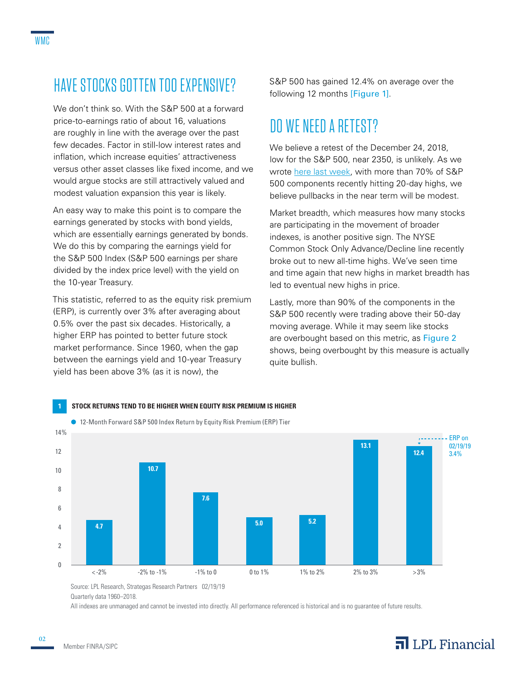# HAVE STOCKS GOTTEN TOO EXPENSIVE?

We don't think so. With the S&P 500 at a forward price-to-earnings ratio of about 16, valuations are roughly in line with the average over the past few decades. Factor in still-low interest rates and inflation, which increase equities' attractiveness versus other asset classes like fixed income, and we would argue stocks are still attractively valued and modest valuation expansion this year is likely.

An easy way to make this point is to compare the earnings generated by stocks with bond yields, which are essentially earnings generated by bonds. We do this by comparing the earnings yield for the S&P 500 Index (S&P 500 earnings per share divided by the index price level) with the yield on the 10-year Treasury.

This statistic, referred to as the equity risk premium (ERP), is currently over 3% after averaging about 0.5% over the past six decades. Historically, a higher ERP has pointed to better future stock market performance. Since 1960, when the gap between the earnings yield and 10-year Treasury yield has been above 3% (as it is now), the

S&P 500 has gained 12.4% on average over the following 12 months [Figure 1].

## DO WE NEED A RETEST?

We believe a retest of the December 24, 2018, low for the S&P 500, near 2350, is unlikely. As we wrote [here last week,](https://lpl-research.com/~rss/LPL_RSS_Feeds_Publications/WMC/Weekly_Market_Commentary_02192019.pdf) with more than 70% of S&P 500 components recently hitting 20-day highs, we believe pullbacks in the near term will be modest.

Market breadth, which measures how many stocks are participating in the movement of broader indexes, is another positive sign. The NYSE Common Stock Only Advance/Decline line recently broke out to new all-time highs. We've seen time and time again that new highs in market breadth has led to eventual new highs in price.

Lastly, more than 90% of the components in the S&P 500 recently were trading above their 50-day moving average. While it may seem like stocks are overbought based on this metric, as Figure 2 shows, being overbought by this measure is actually quite bullish.



Source: LPL Research, Strategas Research Partners 02/19/19 Quarterly data 1960–2018.

All indexes are unmanaged and cannot be invested into directly. All performance referenced is historical and is no guarantee of future results.

### Member FINRA/SIPC

02

### $\overline{\mathbf{a}}$  LPL Financial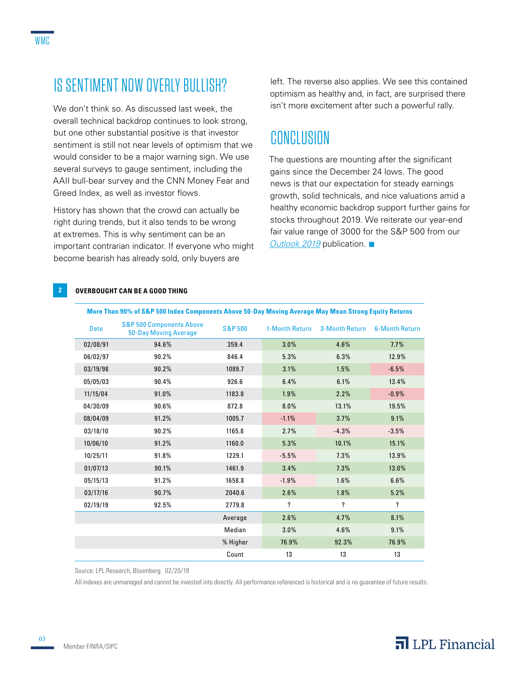## IS SENTIMENT NOW OVERLY BULLISH?

We don't think so. As discussed last week, the overall technical backdrop continues to look strong, but one other substantial positive is that investor sentiment is still not near levels of optimism that we would consider to be a major warning sign. We use several surveys to gauge sentiment, including the AAII bull-bear survey and the CNN Money Fear and Greed Index, as well as investor flows.

History has shown that the crowd can actually be right during trends, but it also tends to be wrong at extremes. This is why sentiment can be an important contrarian indicator. If everyone who might become bearish has already sold, only buyers are

left. The reverse also applies. We see this contained optimism as healthy and, in fact, are surprised there isn't more excitement after such a powerful rally.

### CONCLUSION

The questions are mounting after the significant gains since the December 24 lows. The good news is that our expectation for steady earnings growth, solid technicals, and nice valuations amid a healthy economic backdrop support further gains for stocks throughout 2019. We reiterate our year-end fair value range of 3000 for the S&P 500 from our *[Outlook 2019](http://lpl-research.com/outlook/2019/Outlook_2019_Spreads.pdf)* publication. ■

### **2 OVERBOUGHT CAN BE A GOOD THING**

| <b>Date</b> | <b>S&amp;P 500 Components Above</b><br><b>50-Day Moving Average</b> | <b>S&amp;P 500</b> | 1-Month Return | 3-Month Return | <b>6-Month Return</b> |
|-------------|---------------------------------------------------------------------|--------------------|----------------|----------------|-----------------------|
| 02/08/91    | 94.6%                                                               | 359.4              | 3.0%           | 4.6%           | 7.7%                  |
| 06/02/97    | 90.2%                                                               | 846.4              | 5.3%           | 6.3%           | 12.9%                 |
| 03/19/98    | 90.2%                                                               | 1089.7             | 3.1%           | 1.5%           | $-6.5%$               |
| 05/05/03    | 90.4%                                                               | 926.6              | 6.4%           | 6.1%           | 13.4%                 |
| 11/15/04    | 91.0%                                                               | 1183.8             | 1.9%           | 2.2%           | $-0.9%$               |
| 04/30/09    | 90.6%                                                               | 872.8              | 8.0%           | 13.1%          | 19.5%                 |
| 08/04/09    | 91.2%                                                               | 1005.7             | $-1.1%$        | 3.7%           | 9.1%                  |
| 03/18/10    | 90.2%                                                               | 1165.8             | 2.7%           | $-4.3%$        | $-3.5%$               |
| 10/06/10    | 91.2%                                                               | 1160.0             | 5.3%           | 10.1%          | 15.1%                 |
| 10/25/11    | 91.8%                                                               | 1229.1             | $-5.5%$        | 7.3%           | 13.9%                 |
| 01/07/13    | 90.1%                                                               | 1461.9             | 3.4%           | 7.3%           | 13.0%                 |
| 05/15/13    | 91.2%                                                               | 1658.8             | $-1.9%$        | 1.6%           | 6.6%                  |
| 03/17/16    | 90.7%                                                               | 2040.6             | 2.6%           | 1.8%           | 5.2%                  |
| 02/19/19    | 92.5%                                                               | 2779.8             | ?              | ?              | ?                     |
|             |                                                                     | Average            | 2.6%           | 4.7%           | 8.1%                  |
|             |                                                                     | Median             | 3.0%           | 4.6%           | 9.1%                  |
|             |                                                                     | % Higher           | 76.9%          | 92.3%          | 76.9%                 |
|             |                                                                     | Count              | 13             | 13             | 13                    |

#### **More Than 90% of S&P 500 Index Components Above 50-Day Moving Average May Mean Strong Equity Returns**

Source: LPL Research, Bloomberg 02/20/19

All indexes are unmanaged and cannot be invested into directly. All performance referenced is historical and is no guarantee of future results.

03

### $\overline{\mathbf{a}}$  LPL Financial